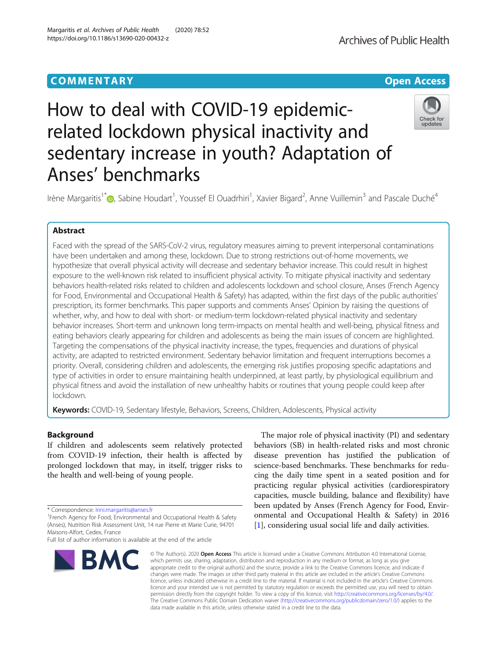# **COMMENTARY COMMENTARY Open Access**

# How to deal with COVID-19 epidemicrelated lockdown physical inactivity and sedentary increase in youth? Adaptation of Anses' benchmarks

Irène Margaritis<sup>1\*</sup>®[,](https://orcid.org/0000-0001-6194-3406) Sabine Houdart<sup>1</sup>, Youssef El Ouadrhiri<sup>1</sup>, Xavier Bigard<sup>2</sup>, Anne Vuillemin<sup>3</sup> and Pascale Duché<sup>4</sup>

# Abstract

Faced with the spread of the SARS-CoV-2 virus, regulatory measures aiming to prevent interpersonal contaminations have been undertaken and among these, lockdown. Due to strong restrictions out-of-home movements, we hypothesize that overall physical activity will decrease and sedentary behavior increase. This could result in highest exposure to the well-known risk related to insufficient physical activity. To mitigate physical inactivity and sedentary behaviors health-related risks related to children and adolescents lockdown and school closure, Anses (French Agency for Food, Environmental and Occupational Health & Safety) has adapted, within the first days of the public authorities' prescription, its former benchmarks. This paper supports and comments Anses' Opinion by raising the questions of whether, why, and how to deal with short- or medium-term lockdown-related physical inactivity and sedentary behavior increases. Short-term and unknown long term-impacts on mental health and well-being, physical fitness and eating behaviors clearly appearing for children and adolescents as being the main issues of concern are highlighted. Targeting the compensations of the physical inactivity increase, the types, frequencies and durations of physical activity, are adapted to restricted environment. Sedentary behavior limitation and frequent interruptions becomes a priority. Overall, considering children and adolescents, the emerging risk justifies proposing specific adaptations and type of activities in order to ensure maintaining health underpinned, at least partly, by physiological equilibrium and physical fitness and avoid the installation of new unhealthy habits or routines that young people could keep after lockdown.

Keywords: COVID-19, Sedentary lifestyle, Behaviors, Screens, Children, Adolescents, Physical activity

# Background

If children and adolescents seem relatively protected from COVID-19 infection, their health is affected by prolonged lockdown that may, in itself, trigger risks to the health and well-being of young people.

**BMC** 

\* Correspondence: [Irini.margaritis@anses.fr](mailto:Irini.margaritis@anses.fr)<br><sup>1</sup>French Agency for Food, Environmental and Occupational Health & Safety (Anses), Nutrition Risk Assessment Unit, 14 rue Pierre et Marie Curie, 94701 Maisons-Alfort, Cedex, France

Full list of author information is available at the end of the article

# behaviors (SB) in health-related risks and most chronic disease prevention has justified the publication of science-based benchmarks. These benchmarks for reducing the daily time spent in a seated position and for practicing regular physical activities (cardiorespiratory capacities, muscle building, balance and flexibility) have been updated by Anses (French Agency for Food, Environmental and Occupational Health & Safety) in 2016 [[1\]](#page-5-0), considering usual social life and daily activities.

The major role of physical inactivity (PI) and sedentary

© The Author(s), 2020 **Open Access** This article is licensed under a Creative Commons Attribution 4.0 International License, which permits use, sharing, adaptation, distribution and reproduction in any medium or format, as long as you give appropriate credit to the original author(s) and the source, provide a link to the Creative Commons licence, and indicate if changes were made. The images or other third party material in this article are included in the article's Creative Commons licence, unless indicated otherwise in a credit line to the material. If material is not included in the article's Creative Commons licence and your intended use is not permitted by statutory regulation or exceeds the permitted use, you will need to obtain permission directly from the copyright holder. To view a copy of this licence, visit [http://creativecommons.org/licenses/by/4.0/.](http://creativecommons.org/licenses/by/4.0/) The Creative Commons Public Domain Dedication waiver [\(http://creativecommons.org/publicdomain/zero/1.0/](http://creativecommons.org/publicdomain/zero/1.0/)) applies to the data made available in this article, unless otherwise stated in a credit line to the data.





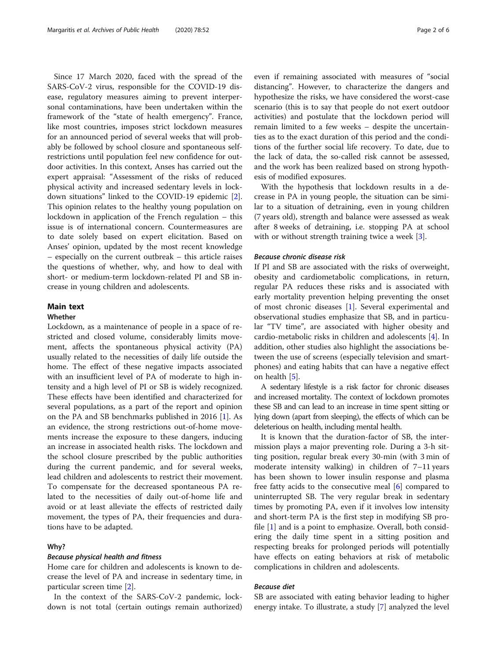Since 17 March 2020, faced with the spread of the SARS-CoV-2 virus, responsible for the COVID-19 disease, regulatory measures aiming to prevent interpersonal contaminations, have been undertaken within the framework of the "state of health emergency". France, like most countries, imposes strict lockdown measures for an announced period of several weeks that will probably be followed by school closure and spontaneous selfrestrictions until population feel new confidence for outdoor activities. In this context, Anses has carried out the expert appraisal: "Assessment of the risks of reduced physical activity and increased sedentary levels in lockdown situations" linked to the COVID-19 epidemic [\[2](#page-5-0)]. This opinion relates to the healthy young population on lockdown in application of the French regulation – this issue is of international concern. Countermeasures are to date solely based on expert elicitation. Based on Anses' opinion, updated by the most recent knowledge – especially on the current outbreak – this article raises the questions of whether, why, and how to deal with short- or medium-term lockdown-related PI and SB increase in young children and adolescents.

# Main text

# **Whather**

Lockdown, as a maintenance of people in a space of restricted and closed volume, considerably limits movement, affects the spontaneous physical activity (PA) usually related to the necessities of daily life outside the home. The effect of these negative impacts associated with an insufficient level of PA of moderate to high intensity and a high level of PI or SB is widely recognized. These effects have been identified and characterized for several populations, as a part of the report and opinion on the PA and SB benchmarks published in 2016 [\[1](#page-5-0)]. As an evidence, the strong restrictions out-of-home movements increase the exposure to these dangers, inducing an increase in associated health risks. The lockdown and the school closure prescribed by the public authorities during the current pandemic, and for several weeks, lead children and adolescents to restrict their movement. To compensate for the decreased spontaneous PA related to the necessities of daily out-of-home life and avoid or at least alleviate the effects of restricted daily movement, the types of PA, their frequencies and durations have to be adapted.

# Why?

# Because physical health and fitness

Home care for children and adolescents is known to decrease the level of PA and increase in sedentary time, in particular screen time [\[2](#page-5-0)].

In the context of the SARS-CoV-2 pandemic, lockdown is not total (certain outings remain authorized)

even if remaining associated with measures of "social distancing". However, to characterize the dangers and hypothesize the risks, we have considered the worst-case scenario (this is to say that people do not exert outdoor activities) and postulate that the lockdown period will remain limited to a few weeks – despite the uncertainties as to the exact duration of this period and the conditions of the further social life recovery. To date, due to the lack of data, the so-called risk cannot be assessed, and the work has been realized based on strong hypothesis of modified exposures.

With the hypothesis that lockdown results in a decrease in PA in young people, the situation can be similar to a situation of detraining, even in young children (7 years old), strength and balance were assessed as weak after 8 weeks of detraining, i.e. stopping PA at school with or without strength training twice a week [\[3](#page-5-0)].

# Because chronic disease risk

If PI and SB are associated with the risks of overweight, obesity and cardiometabolic complications, in return, regular PA reduces these risks and is associated with early mortality prevention helping preventing the onset of most chronic diseases [[1](#page-5-0)]. Several experimental and observational studies emphasize that SB, and in particular "TV time", are associated with higher obesity and cardio-metabolic risks in children and adolescents [[4\]](#page-5-0). In addition, other studies also highlight the associations between the use of screens (especially television and smartphones) and eating habits that can have a negative effect on health [\[5](#page-5-0)].

A sedentary lifestyle is a risk factor for chronic diseases and increased mortality. The context of lockdown promotes these SB and can lead to an increase in time spent sitting or lying down (apart from sleeping), the effects of which can be deleterious on health, including mental health.

It is known that the duration-factor of SB, the intermission plays a major preventing role. During a 3-h sitting position, regular break every 30-min (with 3 min of moderate intensity walking) in children of 7–11 years has been shown to lower insulin response and plasma free fatty acids to the consecutive meal [[6](#page-5-0)] compared to uninterrupted SB. The very regular break in sedentary times by promoting PA, even if it involves low intensity and short-term PA is the first step in modifying SB profile [\[1](#page-5-0)] and is a point to emphasize. Overall, both considering the daily time spent in a sitting position and respecting breaks for prolonged periods will potentially have effects on eating behaviors at risk of metabolic complications in children and adolescents.

## Because diet

SB are associated with eating behavior leading to higher energy intake. To illustrate, a study [\[7](#page-5-0)] analyzed the level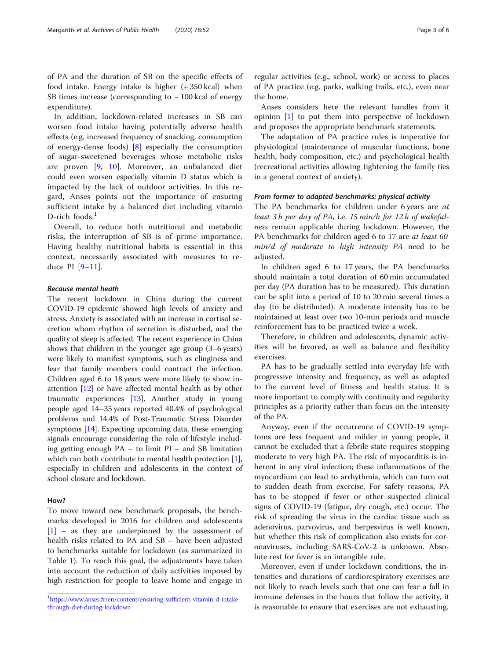of PA and the duration of SB on the specific effects of food intake. Energy intake is higher (+ 350 kcal) when SB times increase (corresponding to − 100 kcal of energy expenditure).

In addition, lockdown-related increases in SB can worsen food intake having potentially adverse health effects (e.g. increased frequency of snacking, consumption of energy-dense foods) [[8\]](#page-5-0) especially the consumption of sugar-sweetened beverages whose metabolic risks are proven [[9,](#page-5-0) [10](#page-5-0)]. Moreover, an unbalanced diet could even worsen especially vitamin D status which is impacted by the lack of outdoor activities. In this regard, Anses points out the importance of ensuring sufficient intake by a balanced diet including vitamin D-rich foods. $<sup>1</sup>$ </sup>

Overall, to reduce both nutritional and metabolic risks, the interruption of SB is of prime importance. Having healthy nutritional habits is essential in this context, necessarily associated with measures to reduce PI [\[9](#page-5-0)–[11](#page-5-0)].

#### Because mental heath

The recent lockdown in China during the current COVID-19 epidemic showed high levels of anxiety and stress. Anxiety is associated with an increase in cortisol secretion whom rhythm of secretion is disturbed, and the quality of sleep is affected. The recent experience in China shows that children in the younger age group (3–6 years) were likely to manifest symptoms, such as clinginess and fear that family members could contract the infection. Children aged 6 to 18 years were more likely to show inattention [\[12](#page-5-0)] or have affected mental health as by other traumatic experiences [\[13\]](#page-5-0). Another study in young people aged 14–35 years reported 40.4% of psychological problems and 14.4% of Post-Traumatic Stress Disorder symptoms [\[14\]](#page-5-0). Expecting upcoming data, these emerging signals encourage considering the role of lifestyle including getting enough PA – to limit PI – and SB limitation which can both contribute to mental health protection [[1](#page-5-0)], especially in children and adolescents in the context of school closure and lockdown.

# How?

To move toward new benchmark proposals, the benchmarks developed in 2016 for children and adolescents [[1\]](#page-5-0) – as they are underpinned by the assessment of health risks related to PA and SB – have been adjusted to benchmarks suitable for lockdown (as summarized in Table [1\)](#page-3-0). To reach this goal, the adjustments have taken into account the reduction of daily activities imposed by high restriction for people to leave home and engage in regular activities (e.g., school, work) or access to places of PA practice (e.g. parks, walking trails, etc.), even near the home.

Anses considers here the relevant handles from it opinion [\[1](#page-5-0)] to put them into perspective of lockdown and proposes the appropriate benchmark statements.

The adaptation of PA practice rules is imperative for physiological (maintenance of muscular functions, bone health, body composition, etc.) and psychological health (recreational activities allowing tightening the family ties in a general context of anxiety).

#### From former to adapted benchmarks: physical activity

The PA benchmarks for children under 6 years are at least 3 h per day of PA, i.e. 15 min/h for 12 h of wakefulness remain applicable during lockdown. However, the PA benchmarks for children aged 6 to 17 are at least 60 min/d of moderate to high intensity PA need to be adjusted.

In children aged 6 to 17 years, the PA benchmarks should maintain a total duration of 60 min accumulated per day (PA duration has to be measured). This duration can be split into a period of 10 to 20 min several times a day (to be distributed). A moderate intensity has to be maintained at least over two 10-min periods and muscle reinforcement has to be practiced twice a week.

Therefore, in children and adolescents, dynamic activities will be favored, as well as balance and flexibility exercises.

PA has to be gradually settled into everyday life with progressive intensity and frequency, as well as adapted to the current level of fitness and health status. It is more important to comply with continuity and regularity principles as a priority rather than focus on the intensity of the PA.

Anyway, even if the occurrence of COVID-19 symptoms are less frequent and milder in young people, it cannot be excluded that a febrile state requires stopping moderate to very high PA. The risk of myocarditis is inherent in any viral infection; these inflammations of the myocardium can lead to arrhythmia, which can turn out to sudden death from exercise. For safety reasons, PA has to be stopped if fever or other suspected clinical signs of COVID-19 (fatigue, dry cough, etc.) occur. The risk of spreading the virus in the cardiac tissue such as adenovirus, parvovirus, and herpesvirus is well known, but whether this risk of complication also exists for coronaviruses, including SARS-CoV-2 is unknown. Absolute rest for fever is an intangible rule.

Moreover, even if under lockdown conditions, the intensities and durations of cardiorespiratory exercises are not likely to reach levels such that one can fear a fall in immune defenses in the hours that follow the activity, it is reasonable to ensure that exercises are not exhausting.

<sup>1</sup> [https://www.anses.fr/en/content/ensuring-sufficient-vitamin-d-intake](https://www.anses.fr/en/content/ensuring-sufficient-vitamin-d-intake-through-diet-during-lockdown)[through-diet-during-lockdown](https://www.anses.fr/en/content/ensuring-sufficient-vitamin-d-intake-through-diet-during-lockdown)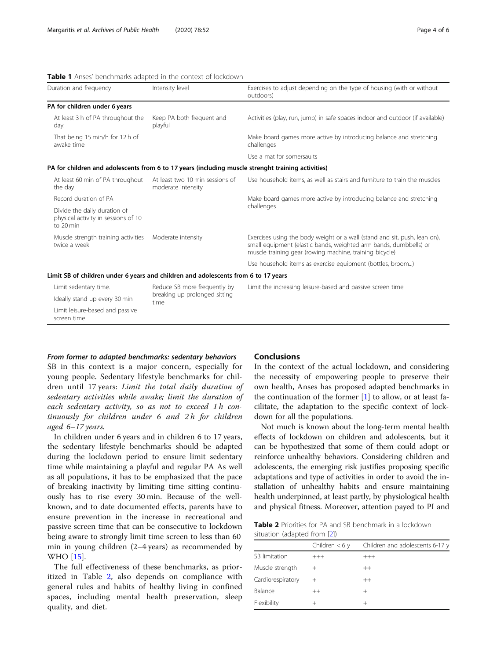# <span id="page-3-0"></span>Table 1 Anses' benchmarks adapted in the context of lockdown

| Duration and frequency                                                                             | Intensity level                                                       | Exercises to adjust depending on the type of housing (with or without<br>outdoors)                                                                                                                        |
|----------------------------------------------------------------------------------------------------|-----------------------------------------------------------------------|-----------------------------------------------------------------------------------------------------------------------------------------------------------------------------------------------------------|
| PA for children under 6 years                                                                      |                                                                       |                                                                                                                                                                                                           |
| At least 3 h of PA throughout the<br>day:                                                          | Keep PA both frequent and<br>playful                                  | Activities (play, run, jump) in safe spaces indoor and outdoor (if available)                                                                                                                             |
| That being 15 min/h for 12 h of<br>awake time                                                      |                                                                       | Make board games more active by introducing balance and stretching<br>challenges                                                                                                                          |
|                                                                                                    |                                                                       | Use a mat for somersaults                                                                                                                                                                                 |
| PA for children and adolescents from 6 to 17 years (including muscle strenght training activities) |                                                                       |                                                                                                                                                                                                           |
| At least 60 min of PA throughout<br>the day                                                        | At least two 10 min sessions of<br>moderate intensity                 | Use household items, as well as stairs and furniture to train the muscles                                                                                                                                 |
| Record duration of PA                                                                              |                                                                       | Make board games more active by introducing balance and stretching<br>challenges                                                                                                                          |
| Divide the daily duration of<br>physical activity in sessions of 10<br>to 20 min                   |                                                                       |                                                                                                                                                                                                           |
| Muscle strength training activities<br>twice a week                                                | Moderate intensity                                                    | Exercises using the body weight or a wall (stand and sit, push, lean on),<br>small equipment (elastic bands, weighted arm bands, dumbbells) or<br>muscle training gear (rowing machine, training bicycle) |
|                                                                                                    |                                                                       | Use household items as exercise equipment (bottles, broom)                                                                                                                                                |
| Limit SB of children under 6 years and children and adolescents from 6 to 17 years                 |                                                                       |                                                                                                                                                                                                           |
| Limit sedentary time.                                                                              | Reduce SB more frequently by<br>breaking up prolonged sitting<br>time | Limit the increasing leisure-based and passive screen time                                                                                                                                                |
| Ideally stand up every 30 min                                                                      |                                                                       |                                                                                                                                                                                                           |
| Limit leisure-based and passive<br>screen time                                                     |                                                                       |                                                                                                                                                                                                           |

## From former to adapted benchmarks: sedentary behaviors

SB in this context is a major concern, especially for young people. Sedentary lifestyle benchmarks for children until 17 years: Limit the total daily duration of sedentary activities while awake; limit the duration of each sedentary activity, so as not to exceed 1 h continuously for children under 6 and 2 h for children aged 6–17 years.

In children under 6 years and in children 6 to 17 years, the sedentary lifestyle benchmarks should be adapted during the lockdown period to ensure limit sedentary time while maintaining a playful and regular PA As well as all populations, it has to be emphasized that the pace of breaking inactivity by limiting time sitting continuously has to rise every 30 min. Because of the wellknown, and to date documented effects, parents have to ensure prevention in the increase in recreational and passive screen time that can be consecutive to lockdown being aware to strongly limit time screen to less than 60 min in young children (2–4 years) as recommended by WHO [[15\]](#page-5-0).

The full effectiveness of these benchmarks, as prioritized in Table 2, also depends on compliance with general rules and habits of healthy living in confined spaces, including mental health preservation, sleep quality, and diet.

# Conclusions

In the context of the actual lockdown, and considering the necessity of empowering people to preserve their own health, Anses has proposed adapted benchmarks in the continuation of the former  $[1]$  $[1]$  to allow, or at least facilitate, the adaptation to the specific context of lockdown for all the populations.

Not much is known about the long-term mental health effects of lockdown on children and adolescents, but it can be hypothesized that some of them could adopt or reinforce unhealthy behaviors. Considering children and adolescents, the emerging risk justifies proposing specific adaptations and type of activities in order to avoid the installation of unhealthy habits and ensure maintaining health underpinned, at least partly, by physiological health and physical fitness. Moreover, attention payed to PI and

**Table 2** Priorities for PA and SB benchmark in a lockdown situation (adapted from [[2](#page-5-0)])

|                   | Children $<$ 6 y | Children and adolescents 6-17 y |
|-------------------|------------------|---------------------------------|
| SB limitation     | $^{+++}$         | $+++$                           |
| Muscle strength   |                  | $++$                            |
| Cardiorespiratory | $^+$             | $++$                            |
| Balance           | $^{++}$          | $\overline{+}$                  |
| Flexibility       |                  | $\pm$                           |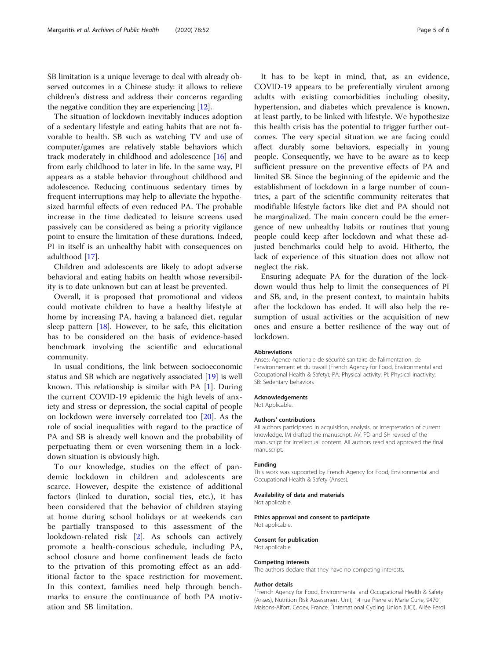SB limitation is a unique leverage to deal with already observed outcomes in a Chinese study: it allows to relieve children's distress and address their concerns regarding the negative condition they are experiencing [\[12\]](#page-5-0).

The situation of lockdown inevitably induces adoption of a sedentary lifestyle and eating habits that are not favorable to health. SB such as watching TV and use of computer/games are relatively stable behaviors which track moderately in childhood and adolescence [\[16\]](#page-5-0) and from early childhood to later in life. In the same way, PI appears as a stable behavior throughout childhood and adolescence. Reducing continuous sedentary times by frequent interruptions may help to alleviate the hypothesized harmful effects of even reduced PA. The probable increase in the time dedicated to leisure screens used passively can be considered as being a priority vigilance point to ensure the limitation of these durations. Indeed, PI in itself is an unhealthy habit with consequences on adulthood [\[17](#page-5-0)].

Children and adolescents are likely to adopt adverse behavioral and eating habits on health whose reversibility is to date unknown but can at least be prevented.

Overall, it is proposed that promotional and videos could motivate children to have a healthy lifestyle at home by increasing PA, having a balanced diet, regular sleep pattern  $[18]$  $[18]$ . However, to be safe, this elicitation has to be considered on the basis of evidence-based benchmark involving the scientific and educational community.

In usual conditions, the link between socioeconomic status and SB which are negatively associated [[19\]](#page-5-0) is well known. This relationship is similar with PA [[1\]](#page-5-0). During the current COVID-19 epidemic the high levels of anxiety and stress or depression, the social capital of people on lockdown were inversely correlated too [[20\]](#page-5-0). As the role of social inequalities with regard to the practice of PA and SB is already well known and the probability of perpetuating them or even worsening them in a lockdown situation is obviously high.

To our knowledge, studies on the effect of pandemic lockdown in children and adolescents are scarce. However, despite the existence of additional factors (linked to duration, social ties, etc.), it has been considered that the behavior of children staying at home during school holidays or at weekends can be partially transposed to this assessment of the lookdown-related risk [\[2](#page-5-0)]. As schools can actively promote a health-conscious schedule, including PA, school closure and home confinement leads de facto to the privation of this promoting effect as an additional factor to the space restriction for movement. In this context, families need help through benchmarks to ensure the continuance of both PA motivation and SB limitation.

It has to be kept in mind, that, as an evidence, COVID-19 appears to be preferentially virulent among adults with existing comorbidities including obesity, hypertension, and diabetes which prevalence is known, at least partly, to be linked with lifestyle. We hypothesize this health crisis has the potential to trigger further outcomes. The very special situation we are facing could affect durably some behaviors, especially in young people. Consequently, we have to be aware as to keep sufficient pressure on the preventive effects of PA and limited SB. Since the beginning of the epidemic and the establishment of lockdown in a large number of countries, a part of the scientific community reiterates that modifiable lifestyle factors like diet and PA should not be marginalized. The main concern could be the emergence of new unhealthy habits or routines that young people could keep after lockdown and what these adjusted benchmarks could help to avoid. Hitherto, the lack of experience of this situation does not allow not neglect the risk.

Ensuring adequate PA for the duration of the lockdown would thus help to limit the consequences of PI and SB, and, in the present context, to maintain habits after the lockdown has ended. It will also help the resumption of usual activities or the acquisition of new ones and ensure a better resilience of the way out of lockdown.

#### Abbreviations

Anses: Agence nationale de sécurité sanitaire de l'alimentation, de l'environnement et du travail (French Agency for Food, Environmental and Occupational Health & Safety); PA: Physical activity; PI: Physical inactivity; SB: Sedentary behaviors

# Acknowledgements

Not Applicable.

#### Authors' contributions

All authors participated in acquisition, analysis, or interpretation of current knowledge. IM drafted the manuscript. AV, PD and SH revised of the manuscript for intellectual content. All authors read and approved the final manuscript.

#### Funding

This work was supported by French Agency for Food, Environmental and Occupational Health & Safety (Anses).

# Availability of data and materials

Not applicable.

#### Ethics approval and consent to participate

Not applicable.

#### Consent for publication

Not applicable.

#### Competing interests

The authors declare that they have no competing interests.

#### Author details

<sup>1</sup> French Agency for Food, Environmental and Occupational Health & Safety (Anses), Nutrition Risk Assessment Unit, 14 rue Pierre et Marie Curie, 94701 Maisons-Alfort, Cedex, France. <sup>2</sup>International Cycling Union (UCI), Allée Ferdi